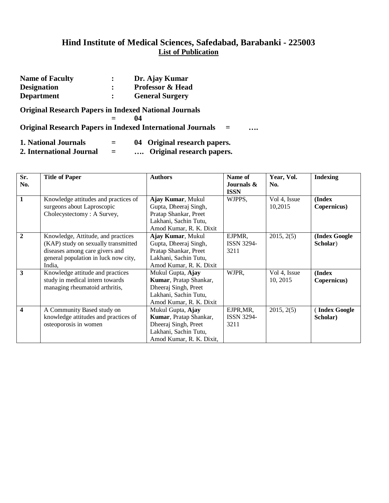| <b>Name of Faculty</b>                                       | :                    | Dr. Ajay Kumar                                                                |
|--------------------------------------------------------------|----------------------|-------------------------------------------------------------------------------|
| <b>Designation</b>                                           | $\ddot{\cdot}$       | <b>Professor &amp; Head</b>                                                   |
| <b>Department</b>                                            | $\ddot{\phantom{a}}$ | <b>General Surgery</b>                                                        |
| <b>Original Research Papers in Indexed National Journals</b> |                      |                                                                               |
|                                                              |                      | 04                                                                            |
|                                                              |                      | <b>Original Research Papers in Indexed International Journals</b><br>$=$<br>. |
| 1. National Journals                                         | $=$                  | 04 Original research papers.                                                  |
| 2. International Journal                                     |                      | Original research papers.                                                     |

| Sr.<br>No.       | <b>Title of Paper</b>                | <b>Authors</b>           | Name of<br>Journals $\&$ | Year, Vol.<br>No. | <b>Indexing</b> |
|------------------|--------------------------------------|--------------------------|--------------------------|-------------------|-----------------|
| $\mathbf{1}$     | Knowledge attitudes and practices of | Ajay Kumar, Mukul        | <b>ISSN</b><br>WJPPS,    | Vol 4, Issue      | (Index          |
|                  | surgeons about Laproscopic           | Gupta, Dheeraj Singh,    |                          | 10,2015           | Copernicus)     |
|                  | Cholecystectomy: A Survey,           | Pratap Shankar, Preet    |                          |                   |                 |
|                  |                                      | Lakhani, Sachin Tutu,    |                          |                   |                 |
|                  |                                      | Amod Kumar, R. K. Dixit  |                          |                   |                 |
| $\overline{2}$   | Knowledge, Attitude, and practices   | Ajay Kumar, Mukul        | EJPMR,                   | 2015, 2(5)        | (Index Google   |
|                  | (KAP) study on sexually transmitted  | Gupta, Dheeraj Singh,    | <b>ISSN 3294-</b>        |                   | Scholar)        |
|                  | diseases among care givers and       | Pratap Shankar, Preet    | 3211                     |                   |                 |
|                  | general population in luck now city, | Lakhani, Sachin Tutu,    |                          |                   |                 |
|                  | India.                               | Amod Kumar, R. K. Dixit  |                          |                   |                 |
| 3                | Knowledge attitude and practices     | Mukul Gupta, Ajay        | WJPR,                    | Vol 4, Issue      | (Index          |
|                  | study in medical intern towards      | Kumar, Pratap Shankar,   |                          | 10, 2015          | Copernicus)     |
|                  | managing rheumatoid arthritis,       | Dheeraj Singh, Preet     |                          |                   |                 |
|                  |                                      | Lakhani, Sachin Tutu,    |                          |                   |                 |
|                  |                                      | Amod Kumar, R. K. Dixit  |                          |                   |                 |
| $\boldsymbol{4}$ | A Community Based study on           | Mukul Gupta, Ajay        | EJPR, MR,                | 2015, 2(5)        | Index Google    |
|                  | knowledge attitudes and practices of | Kumar, Pratap Shankar,   | <b>ISSN 3294-</b>        |                   | Scholar)        |
|                  | osteoporosis in women                | Dheeraj Singh, Preet     | 3211                     |                   |                 |
|                  |                                      | Lakhani, Sachin Tutu,    |                          |                   |                 |
|                  |                                      | Amod Kumar, R. K. Dixit, |                          |                   |                 |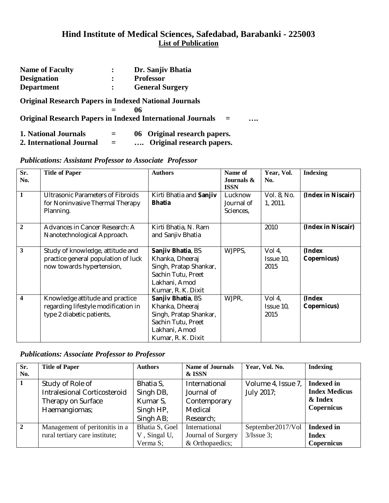| <b>Name of Faculty</b>                                       | :   | Dr. Sanjiv Bhatia                                                        |   |
|--------------------------------------------------------------|-----|--------------------------------------------------------------------------|---|
| <b>Designation</b>                                           | :   | <b>Professor</b>                                                         |   |
| <b>Department</b>                                            |     | <b>General Surgery</b>                                                   |   |
| <b>Original Research Papers in Indexed National Journals</b> |     |                                                                          |   |
|                                                              |     | 06                                                                       |   |
|                                                              |     | <b>Original Research Papers in Indexed International Journals</b><br>$=$ | . |
| 1. National Journals                                         | $=$ | 06 Original research papers.                                             |   |
| 2. International Journal                                     | $=$ | Original research papers.                                                |   |

#### *Publications: Assistant Professor to Associate Professor*

| Sr.<br>No.              | <b>Title of Paper</b>                                                                                | <b>Authors</b>                                                                                                              | Name of<br>Journals &<br><b>ISSN</b> | Year, Vol.<br>No.           | <b>Indexing</b>       |
|-------------------------|------------------------------------------------------------------------------------------------------|-----------------------------------------------------------------------------------------------------------------------------|--------------------------------------|-----------------------------|-----------------------|
| $\mathbf{1}$            | <b>Ultrasonic Parameters of Fibroids</b><br>for Noninvasive Thermal Therapy<br>Planning.             | Kirti Bhatia and Sanjiv<br><b>Bhatia</b>                                                                                    | Lucknow<br>Journal of<br>Sciences,   | Vol. 8, No.<br>1, 2011.     | (Index in Niscair)    |
| $\overline{2}$          | Advances in Cancer Research: A<br>Nanotechnological Approach.                                        | Kirti Bhatia, N. Ram<br>and Sanjiv Bhatia                                                                                   |                                      | 2010                        | (Index in Niscair)    |
| 3                       | Study of knowledge, attitude and<br>practice general population of luck<br>now towards hypertension, | Sanjiv Bhatia, BS<br>Khanka, Dheeraj<br>Singh, Pratap Shankar,<br>Sachin Tutu, Preet<br>Lakhani, Amod<br>Kumar, R. K. Dixit | WJPPS,                               | Vol 4,<br>Issue 10,<br>2015 | (Index<br>Copernicus) |
| $\overline{\mathbf{4}}$ | Knowledge attitude and practice<br>regarding lifestyle modification in<br>type 2 diabetic patients,  | Sanjiv Bhatia, BS<br>Khanka, Dheeraj<br>Singh, Pratap Shankar,<br>Sachin Tutu, Preet<br>Lakhani, Amod<br>Kumar, R. K. Dixit | WJPR,                                | Vol 4,<br>Issue 10,<br>2015 | (Index<br>Copernicus) |

#### *Publications: Associate Professor to Professor*

| Sr.            | <b>Title of Paper</b>          | <b>Authors</b> | <b>Name of Journals</b> | Year, Vol. No.     | <b>Indexing</b>      |
|----------------|--------------------------------|----------------|-------------------------|--------------------|----------------------|
| No.            |                                |                | & ISSN                  |                    |                      |
| $\mathbf{1}$   | Study of Role of               | Bhatia S,      | International           | Volume 4, Issue 7, | <b>Indexed in</b>    |
|                | Intralesional Corticosteroid   | Singh DB,      | Journal of              | July 2017;         | <b>Index Medicus</b> |
|                | Therapy on Surface             | Kumar S,       | Contemporary            |                    | & Index              |
|                | Haemangiomas;                  | Singh HP,      | Medical                 |                    | Copernicus           |
|                |                                | Singh AB;      | Research:               |                    |                      |
| $\overline{2}$ | Management of peritonitis in a | Bhatia S, Goel | International           | September2017/Vol  | Indexed in           |
|                | rural tertiary care institute; | V, Singal U,   | Journal of Surgery      | $3$ /Issue 3;      | <b>Index</b>         |
|                |                                | Verma S;       | & Orthopaedics;         |                    | <b>Copernicus</b>    |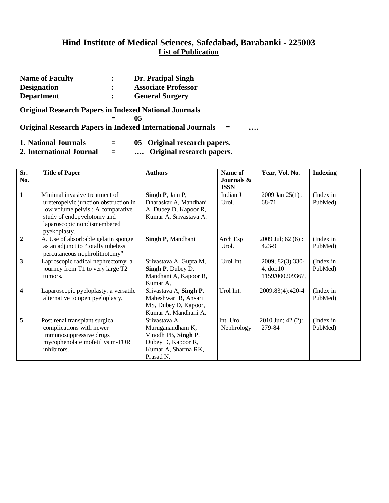| <b>Name of Faculty</b>                                       | $\ddot{\cdot}$ | Dr. Pratipal Singh                                                       |   |
|--------------------------------------------------------------|----------------|--------------------------------------------------------------------------|---|
| <b>Designation</b>                                           | $\ddot{\cdot}$ | <b>Associate Professor</b>                                               |   |
| <b>Department</b>                                            | $\ddot{\cdot}$ | <b>General Surgery</b>                                                   |   |
| <b>Original Research Papers in Indexed National Journals</b> |                | 05                                                                       |   |
|                                                              |                | <b>Original Research Papers in Indexed International Journals</b><br>$=$ | . |
| 1. National Journals                                         |                | 05 Original research papers.                                             |   |

**2. International Journal = …. Original research papers.**

| Sr.                     | <b>Title of Paper</b>                 | <b>Authors</b>         | Name of                   | Year, Vol. No.       | <b>Indexing</b> |
|-------------------------|---------------------------------------|------------------------|---------------------------|----------------------|-----------------|
| No.                     |                                       |                        | Journals &<br><b>ISSN</b> |                      |                 |
| $\mathbf{1}$            | Minimal invasive treatment of         | Singh P, Jain P,       | Indian J                  | $2009$ Jan $25(1)$ : | (Index in       |
|                         | ureteropelvic junction obstruction in | Dharaskar A, Mandhani  | Urol.                     | 68-71                | PubMed)         |
|                         | low volume pelvis : A comparative     | A, Dubey D, Kapoor R,  |                           |                      |                 |
|                         |                                       |                        |                           |                      |                 |
|                         | study of endopyelotomy and            | Kumar A, Srivastava A. |                           |                      |                 |
|                         | laparoscopic nondismembered           |                        |                           |                      |                 |
|                         | pyekoplasty.                          |                        |                           |                      |                 |
| $\overline{2}$          | A. Use of absorbable gelatin sponge   | Singh P, Mandhani      | Arch Esp                  | $2009$ Jul; 62 (6):  | (Index in       |
|                         | as an adjunct to "totally tubeless    |                        | Urol.                     | 423-9                | PubMed)         |
|                         | percutaneous nephrolithotomy"         |                        |                           |                      |                 |
| $\overline{3}$          | Laproscopic radical nephrectomy: a    | Srivastava A, Gupta M, | Urol Int.                 | 2009; 82(3):330-     | (Index in       |
|                         | journey from T1 to very large T2      | Singh P, Dubey D,      |                           | $4, \text{doi: } 10$ | PubMed)         |
|                         | tumors.                               | Mandhani A, Kapoor R,  |                           | 1159/000209367,      |                 |
|                         |                                       | Kumar A,               |                           |                      |                 |
| $\overline{\mathbf{4}}$ | Laparoscopic pyeloplasty: a versatile | Srivastava A, Singh P. | Urol Int.                 | 2009;83(4):420-4     | (Index in       |
|                         | alternative to open pyeloplasty.      | Maheshwari R, Ansari   |                           |                      | PubMed)         |
|                         |                                       | MS, Dubey D, Kapoor,   |                           |                      |                 |
|                         |                                       | Kumar A, Mandhani A.   |                           |                      |                 |
| $\overline{5}$          | Post renal transplant surgical        | Srivastava A,          | Int. Urol                 | $2010$ Jun; 42 (2):  | (Index in       |
|                         | complications with newer              | Muruganandham K,       | Nephrology                | 279-84               | PubMed)         |
|                         | immunosuppressive drugs               | Vinodh PB, Singh P,    |                           |                      |                 |
|                         | mycophenolate mofetil vs m-TOR        | Dubey D, Kapoor R,     |                           |                      |                 |
|                         | inhibitors.                           | Kumar A, Sharma RK,    |                           |                      |                 |
|                         |                                       | Prasad N.              |                           |                      |                 |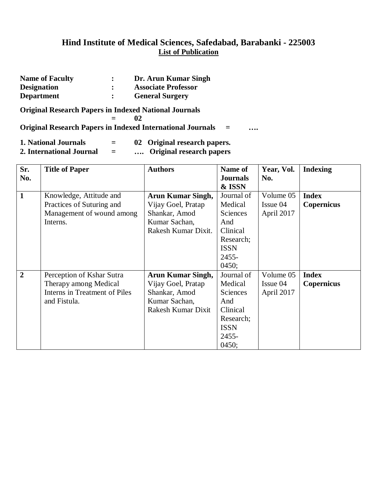| <b>Name of Faculty</b>                                       | Dr. Arun Kumar Singh                                                    |     |  |
|--------------------------------------------------------------|-------------------------------------------------------------------------|-----|--|
| <b>Designation</b>                                           | <b>Associate Professor</b>                                              |     |  |
| <b>Department</b>                                            | <b>General Surgery</b>                                                  |     |  |
| <b>Original Research Papers in Indexed National Journals</b> | 02<br><b>Original Research Papers in Indexed International Journals</b> | $=$ |  |

| <b>1. National Journals</b> |  | - | 02 Original research papers. |
|-----------------------------|--|---|------------------------------|
|                             |  |   |                              |

**2. International Journal = …. Original research papers**

| Sr.            | <b>Title of Paper</b>         | <b>Authors</b>           | Name of         | Year, Vol.  | <b>Indexing</b>   |
|----------------|-------------------------------|--------------------------|-----------------|-------------|-------------------|
| No.            |                               |                          | <b>Journals</b> | No.         |                   |
|                |                               |                          | & ISSN          |             |                   |
| $\mathbf{1}$   | Knowledge, Attitude and       | <b>Arun Kumar Singh,</b> | Journal of      | Volume 05   | <b>Index</b>      |
|                | Practices of Suturing and     | Vijay Goel, Pratap       | Medical         | $I$ ssue 04 | <b>Copernicus</b> |
|                | Management of wound among     | Shankar, Amod            | <b>Sciences</b> | April 2017  |                   |
|                | Interns.                      | Kumar Sachan,            | And             |             |                   |
|                |                               | Rakesh Kumar Dixit.      | Clinical        |             |                   |
|                |                               |                          | Research;       |             |                   |
|                |                               |                          | <b>ISSN</b>     |             |                   |
|                |                               |                          | 2455-           |             |                   |
|                |                               |                          | 0450;           |             |                   |
| $\overline{2}$ | Perception of Kshar Sutra     | <b>Arun Kumar Singh,</b> | Journal of      | Volume 05   | <b>Index</b>      |
|                | Therapy among Medical         | Vijay Goel, Pratap       | Medical         | Issue 04    | <b>Copernicus</b> |
|                | Interns in Treatment of Piles | Shankar, Amod            | <b>Sciences</b> | April 2017  |                   |
|                | and Fistula.                  | Kumar Sachan,            | And             |             |                   |
|                |                               | Rakesh Kumar Dixit       | Clinical        |             |                   |
|                |                               |                          | Research;       |             |                   |
|                |                               |                          | <b>ISSN</b>     |             |                   |
|                |                               |                          | 2455-           |             |                   |
|                |                               |                          | 0450;           |             |                   |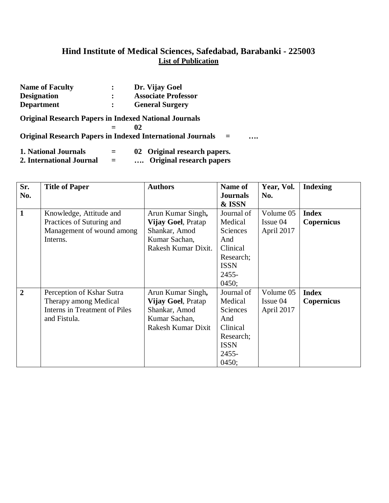| <b>Name of Faculty</b>                                       | $\ddot{\phantom{a}}$ | Dr. Vijay Goel                                                         |
|--------------------------------------------------------------|----------------------|------------------------------------------------------------------------|
| <b>Designation</b>                                           | $\ddot{\phantom{a}}$ | <b>Associate Professor</b>                                             |
| <b>Department</b>                                            | $\ddot{\cdot}$       | <b>General Surgery</b>                                                 |
| <b>Original Research Papers in Indexed National Journals</b> |                      |                                                                        |
|                                                              |                      | 02                                                                     |
|                                                              |                      | <b>Original Research Papers in Indexed International Journals</b><br>. |
| 1. National Journals                                         | $=$                  | 02 Original research papers.                                           |
| 2. International Journal                                     |                      | Original research papers                                               |

| Sr.<br>No.     | <b>Title of Paper</b>                                                                               | <b>Authors</b>                                                                                   | Name of<br><b>Journals</b><br>& ISSN                                                                      | Year, Vol.<br>No.                   | <b>Indexing</b>                   |
|----------------|-----------------------------------------------------------------------------------------------------|--------------------------------------------------------------------------------------------------|-----------------------------------------------------------------------------------------------------------|-------------------------------------|-----------------------------------|
| $\mathbf{1}$   | Knowledge, Attitude and<br>Practices of Suturing and<br>Management of wound among<br>Interns.       | Arun Kumar Singh,<br>Vijay Goel, Pratap<br>Shankar, Amod<br>Kumar Sachan,<br>Rakesh Kumar Dixit. | Journal of<br>Medical<br><b>Sciences</b><br>And<br>Clinical<br>Research;<br><b>ISSN</b><br>2455-<br>0450; | Volume 05<br>Issue 04<br>April 2017 | <b>Index</b><br><b>Copernicus</b> |
| $\overline{2}$ | Perception of Kshar Sutra<br>Therapy among Medical<br>Interns in Treatment of Piles<br>and Fistula. | Arun Kumar Singh,<br>Vijay Goel, Pratap<br>Shankar, Amod<br>Kumar Sachan,<br>Rakesh Kumar Dixit  | Journal of<br>Medical<br><b>Sciences</b><br>And<br>Clinical<br>Research;<br><b>ISSN</b><br>2455-<br>0450; | Volume 05<br>Issue 04<br>April 2017 | <b>Index</b><br><b>Copernicus</b> |